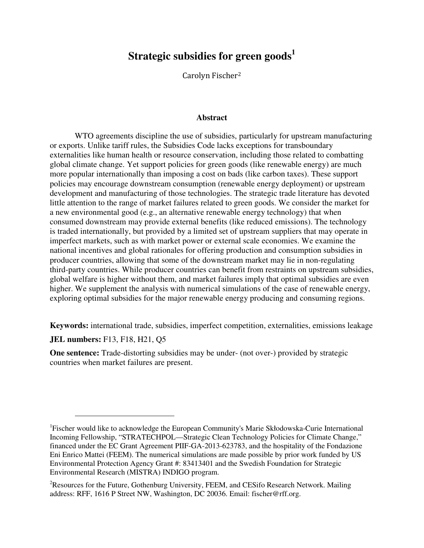# **Strategic subsidies for green goods<sup>1</sup>**

Carolyn Fischer<sup>2</sup>

### **Abstract**

WTO agreements discipline the use of subsidies, particularly for upstream manufacturing or exports. Unlike tariff rules, the Subsidies Code lacks exceptions for transboundary externalities like human health or resource conservation, including those related to combatting global climate change. Yet support policies for green goods (like renewable energy) are much more popular internationally than imposing a cost on bads (like carbon taxes). These support policies may encourage downstream consumption (renewable energy deployment) or upstream development and manufacturing of those technologies. The strategic trade literature has devoted little attention to the range of market failures related to green goods. We consider the market for a new environmental good (e.g., an alternative renewable energy technology) that when consumed downstream may provide external benefits (like reduced emissions). The technology is traded internationally, but provided by a limited set of upstream suppliers that may operate in imperfect markets, such as with market power or external scale economies. We examine the national incentives and global rationales for offering production and consumption subsidies in producer countries, allowing that some of the downstream market may lie in non-regulating third-party countries. While producer countries can benefit from restraints on upstream subsidies, global welfare is higher without them, and market failures imply that optimal subsidies are even higher. We supplement the analysis with numerical simulations of the case of renewable energy, exploring optimal subsidies for the major renewable energy producing and consuming regions.

**Keywords:** international trade, subsidies, imperfect competition, externalities, emissions leakage

**JEL numbers:** F13, F18, H21, Q5

 $\overline{a}$ 

**One sentence:** Trade-distorting subsidies may be under- (not over-) provided by strategic countries when market failures are present.

<sup>&</sup>lt;sup>1</sup>Fischer would like to acknowledge the European Community's Marie Skłodowska-Curie International Incoming Fellowship, "STRATECHPOL—Strategic Clean Technology Policies for Climate Change," financed under the EC Grant Agreement PIIF-GA-2013-623783, and the hospitality of the Fondazione Eni Enrico Mattei (FEEM). The numerical simulations are made possible by prior work funded by US Environmental Protection Agency Grant #: 83413401 and the Swedish Foundation for Strategic Environmental Research (MISTRA) INDIGO program.

<sup>&</sup>lt;sup>2</sup>Resources for the Future, Gothenburg University, FEEM, and CESifo Research Network. Mailing address: RFF, 1616 P Street NW, Washington, DC 20036. Email: fischer@rff.org.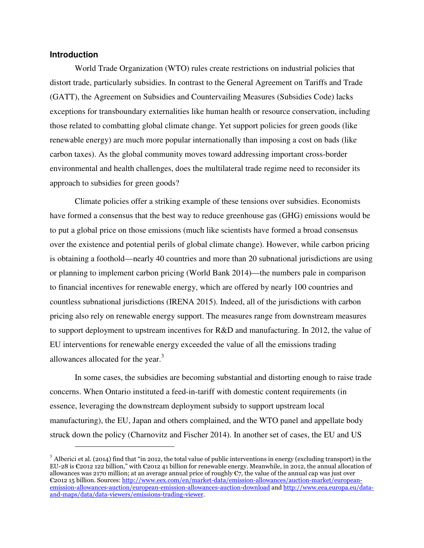## **Introduction**

 $\overline{a}$ 

World Trade Organization (WTO) rules create restrictions on industrial policies that distort trade, particularly subsidies. In contrast to the General Agreement on Tariffs and Trade (GATT), the Agreement on Subsidies and Countervailing Measures (Subsidies Code) lacks exceptions for transboundary externalities like human health or resource conservation, including those related to combatting global climate change. Yet support policies for green goods (like renewable energy) are much more popular internationally than imposing a cost on bads (like carbon taxes). As the global community moves toward addressing important cross-border environmental and health challenges, does the multilateral trade regime need to reconsider its approach to subsidies for green goods?

Climate policies offer a striking example of these tensions over subsidies. Economists have formed a consensus that the best way to reduce greenhouse gas (GHG) emissions would be to put a global price on those emissions (much like scientists have formed a broad consensus over the existence and potential perils of global climate change). However, while carbon pricing is obtaining a foothold—nearly 40 countries and more than 20 subnational jurisdictions are using or planning to implement carbon pricing (World Bank 2014)—the numbers pale in comparison to financial incentives for renewable energy, which are offered by nearly 100 countries and countless subnational jurisdictions (IRENA 2015). Indeed, all of the jurisdictions with carbon pricing also rely on renewable energy support. The measures range from downstream measures to support deployment to upstream incentives for R&D and manufacturing. In 2012, the value of EU interventions for renewable energy exceeded the value of all the emissions trading allowances allocated for the year.<sup>3</sup>

In some cases, the subsidies are becoming substantial and distorting enough to raise trade concerns. When Ontario instituted a feed-in-tariff with domestic content requirements (in essence, leveraging the downstream deployment subsidy to support upstream local manufacturing), the EU, Japan and others complained, and the WTO panel and appellate body struck down the policy (Charnovitz and Fischer 2014). In another set of cases, the EU and US

 $3$  Alberici et al. (2014) find that "in 2012, the total value of public interventions in energy (excluding transport) in the EU-28 is  $\epsilon$ 2012 122 billion," with  $\epsilon$ 2012 41 billion for renewable energy. Meanwhile, in 2012, the annual allocation of allowances was 2170 million; at an average annual price of roughly  $\mathfrak{C}_7$ , the value of the annual cap was just over €2012 15 billion. Sources: http://www.eex.com/en/market-data/emission-allowances/auction-market/europeanemission-allowances-auction/european-emission-allowances-auction-download and http://www.eea.europa.eu/dataand-maps/data/data-viewers/emissions-trading-viewer.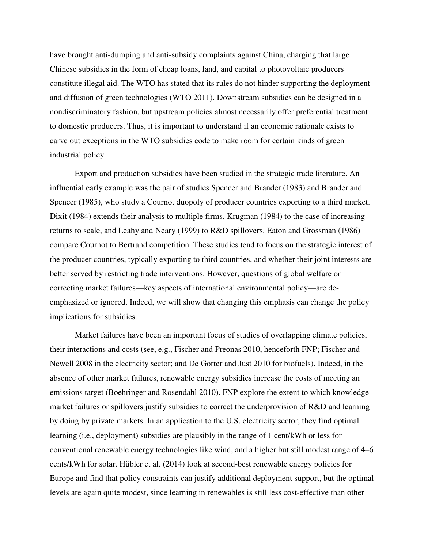have brought anti-dumping and anti-subsidy complaints against China, charging that large Chinese subsidies in the form of cheap loans, land, and capital to photovoltaic producers constitute illegal aid. The WTO has stated that its rules do not hinder supporting the deployment and diffusion of green technologies (WTO 2011). Downstream subsidies can be designed in a nondiscriminatory fashion, but upstream policies almost necessarily offer preferential treatment to domestic producers. Thus, it is important to understand if an economic rationale exists to carve out exceptions in the WTO subsidies code to make room for certain kinds of green industrial policy.

Export and production subsidies have been studied in the strategic trade literature. An influential early example was the pair of studies Spencer and Brander (1983) and Brander and Spencer (1985), who study a Cournot duopoly of producer countries exporting to a third market. Dixit (1984) extends their analysis to multiple firms, Krugman (1984) to the case of increasing returns to scale, and Leahy and Neary (1999) to R&D spillovers. Eaton and Grossman (1986) compare Cournot to Bertrand competition. These studies tend to focus on the strategic interest of the producer countries, typically exporting to third countries, and whether their joint interests are better served by restricting trade interventions. However, questions of global welfare or correcting market failures—key aspects of international environmental policy—are deemphasized or ignored. Indeed, we will show that changing this emphasis can change the policy implications for subsidies.

Market failures have been an important focus of studies of overlapping climate policies, their interactions and costs (see, e.g., Fischer and Preonas 2010, henceforth FNP; Fischer and Newell 2008 in the electricity sector; and De Gorter and Just 2010 for biofuels). Indeed, in the absence of other market failures, renewable energy subsidies increase the costs of meeting an emissions target (Boehringer and Rosendahl 2010). FNP explore the extent to which knowledge market failures or spillovers justify subsidies to correct the underprovision of R&D and learning by doing by private markets. In an application to the U.S. electricity sector, they find optimal learning (i.e., deployment) subsidies are plausibly in the range of 1 cent/kWh or less for conventional renewable energy technologies like wind, and a higher but still modest range of 4–6 cents/kWh for solar. Hübler et al. (2014) look at second-best renewable energy policies for Europe and find that policy constraints can justify additional deployment support, but the optimal levels are again quite modest, since learning in renewables is still less cost-effective than other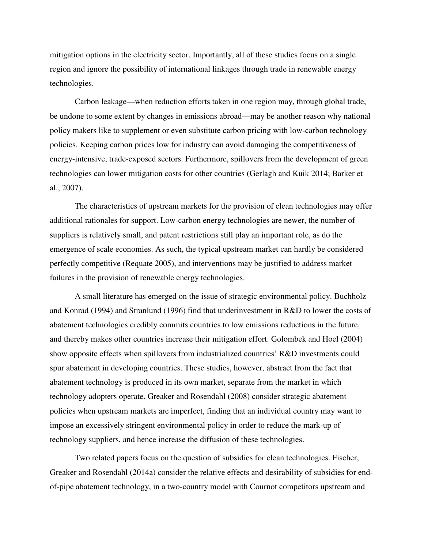mitigation options in the electricity sector. Importantly, all of these studies focus on a single region and ignore the possibility of international linkages through trade in renewable energy technologies.

Carbon leakage—when reduction efforts taken in one region may, through global trade, be undone to some extent by changes in emissions abroad—may be another reason why national policy makers like to supplement or even substitute carbon pricing with low-carbon technology policies. Keeping carbon prices low for industry can avoid damaging the competitiveness of energy-intensive, trade-exposed sectors. Furthermore, spillovers from the development of green technologies can lower mitigation costs for other countries (Gerlagh and Kuik 2014; Barker et al., 2007).

The characteristics of upstream markets for the provision of clean technologies may offer additional rationales for support. Low-carbon energy technologies are newer, the number of suppliers is relatively small, and patent restrictions still play an important role, as do the emergence of scale economies. As such, the typical upstream market can hardly be considered perfectly competitive (Requate 2005), and interventions may be justified to address market failures in the provision of renewable energy technologies.

A small literature has emerged on the issue of strategic environmental policy. Buchholz and Konrad (1994) and Stranlund (1996) find that underinvestment in R&D to lower the costs of abatement technologies credibly commits countries to low emissions reductions in the future, and thereby makes other countries increase their mitigation effort. Golombek and Hoel (2004) show opposite effects when spillovers from industrialized countries' R&D investments could spur abatement in developing countries. These studies, however, abstract from the fact that abatement technology is produced in its own market, separate from the market in which technology adopters operate. Greaker and Rosendahl (2008) consider strategic abatement policies when upstream markets are imperfect, finding that an individual country may want to impose an excessively stringent environmental policy in order to reduce the mark-up of technology suppliers, and hence increase the diffusion of these technologies.

Two related papers focus on the question of subsidies for clean technologies. Fischer, Greaker and Rosendahl (2014a) consider the relative effects and desirability of subsidies for endof-pipe abatement technology, in a two-country model with Cournot competitors upstream and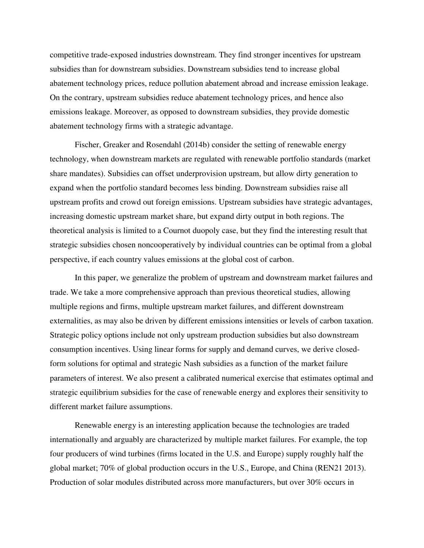competitive trade-exposed industries downstream. They find stronger incentives for upstream subsidies than for downstream subsidies. Downstream subsidies tend to increase global abatement technology prices, reduce pollution abatement abroad and increase emission leakage. On the contrary, upstream subsidies reduce abatement technology prices, and hence also emissions leakage. Moreover, as opposed to downstream subsidies, they provide domestic abatement technology firms with a strategic advantage.

Fischer, Greaker and Rosendahl (2014b) consider the setting of renewable energy technology, when downstream markets are regulated with renewable portfolio standards (market share mandates). Subsidies can offset underprovision upstream, but allow dirty generation to expand when the portfolio standard becomes less binding. Downstream subsidies raise all upstream profits and crowd out foreign emissions. Upstream subsidies have strategic advantages, increasing domestic upstream market share, but expand dirty output in both regions. The theoretical analysis is limited to a Cournot duopoly case, but they find the interesting result that strategic subsidies chosen noncooperatively by individual countries can be optimal from a global perspective, if each country values emissions at the global cost of carbon.

In this paper, we generalize the problem of upstream and downstream market failures and trade. We take a more comprehensive approach than previous theoretical studies, allowing multiple regions and firms, multiple upstream market failures, and different downstream externalities, as may also be driven by different emissions intensities or levels of carbon taxation. Strategic policy options include not only upstream production subsidies but also downstream consumption incentives. Using linear forms for supply and demand curves, we derive closedform solutions for optimal and strategic Nash subsidies as a function of the market failure parameters of interest. We also present a calibrated numerical exercise that estimates optimal and strategic equilibrium subsidies for the case of renewable energy and explores their sensitivity to different market failure assumptions.

Renewable energy is an interesting application because the technologies are traded internationally and arguably are characterized by multiple market failures. For example, the top four producers of wind turbines (firms located in the U.S. and Europe) supply roughly half the global market; 70% of global production occurs in the U.S., Europe, and China (REN21 2013). Production of solar modules distributed across more manufacturers, but over 30% occurs in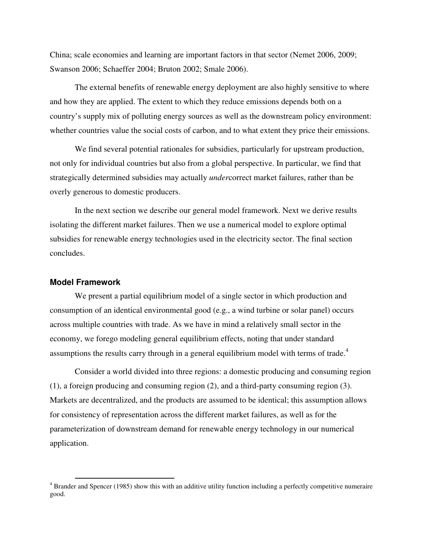China; scale economies and learning are important factors in that sector (Nemet 2006, 2009; Swanson 2006; Schaeffer 2004; Bruton 2002; Smale 2006).

The external benefits of renewable energy deployment are also highly sensitive to where and how they are applied. The extent to which they reduce emissions depends both on a country's supply mix of polluting energy sources as well as the downstream policy environment: whether countries value the social costs of carbon, and to what extent they price their emissions.

We find several potential rationales for subsidies, particularly for upstream production, not only for individual countries but also from a global perspective. In particular, we find that strategically determined subsidies may actually *under*correct market failures, rather than be overly generous to domestic producers.

In the next section we describe our general model framework. Next we derive results isolating the different market failures. Then we use a numerical model to explore optimal subsidies for renewable energy technologies used in the electricity sector. The final section concludes.

## **Model Framework**

 $\overline{a}$ 

We present a partial equilibrium model of a single sector in which production and consumption of an identical environmental good (e.g., a wind turbine or solar panel) occurs across multiple countries with trade. As we have in mind a relatively small sector in the economy, we forego modeling general equilibrium effects, noting that under standard assumptions the results carry through in a general equilibrium model with terms of trade.<sup>4</sup>

Consider a world divided into three regions: a domestic producing and consuming region (1), a foreign producing and consuming region (2), and a third-party consuming region (3). Markets are decentralized, and the products are assumed to be identical; this assumption allows for consistency of representation across the different market failures, as well as for the parameterization of downstream demand for renewable energy technology in our numerical application.

<sup>&</sup>lt;sup>4</sup> Brander and Spencer (1985) show this with an additive utility function including a perfectly competitive numeraire good.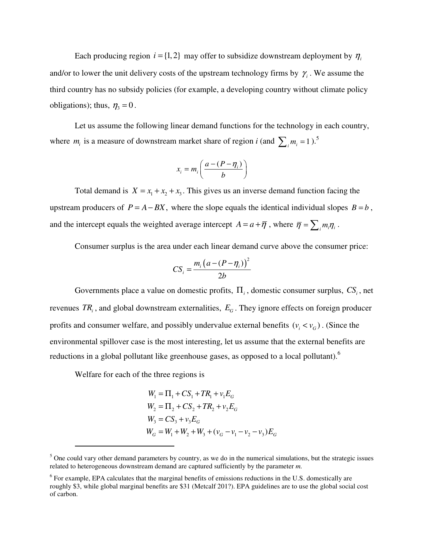Each producing region  $i = \{1, 2\}$  may offer to subsidize downstream deployment by  $\eta_i$ and/or to lower the unit delivery costs of the upstream technology firms by  $\gamma$ . We assume the third country has no subsidy policies (for example, a developing country without climate policy obligations); thus,  $\eta_3 = 0$ .

Let us assume the following linear demand functions for the technology in each country, where  $m_i$  is a measure of downstream market share of region *i* (and  $\sum_i m_i = 1$ ).<sup>5</sup>

$$
x_i = m_i \left( \frac{a - (P - \eta_i)}{b} \right)
$$

Total demand is  $X = x_1 + x_2 + x_3$ . This gives us an inverse demand function facing the upstream producers of  $P = A - BX$ , where the slope equals the identical individual slopes  $B = b$ , and the intercept equals the weighted average intercept  $A = a + \overline{\eta}$ , where  $\overline{\eta} = \sum_i m_i \eta_i$ .

Consumer surplus is the area under each linear demand curve above the consumer price:

$$
CS_i = \frac{m_i \left(a - (P - \eta_i)\right)^2}{2b}
$$

Governments place a value on domestic profits, Π*<sup>i</sup>* , domestic consumer surplus, *CS<sup>i</sup>* , net revenues  $TR<sub>i</sub>$ , and global downstream externalities,  $E<sub>G</sub>$ . They ignore effects on foreign producer profits and consumer welfare, and possibly undervalue external benefits  $(v_i \lt v_G)$ . (Since the environmental spillover case is the most interesting, let us assume that the external benefits are reductions in a global pollutant like greenhouse gases, as opposed to a local pollutant).<sup>6</sup>

Welfare for each of the three regions is

 $\overline{a}$ 

$$
W_1 = \Pi_1 + CS_1 + TR_1 + v_1E_G
$$
  
\n
$$
W_2 = \Pi_2 + CS_2 + TR_2 + v_2E_G
$$
  
\n
$$
W_3 = CS_3 + v_3E_G
$$
  
\n
$$
W_G = W_1 + W_2 + W_3 + (v_G - v_1 - v_2 - v_3)E_G
$$

 $<sup>5</sup>$  One could vary other demand parameters by country, as we do in the numerical simulations, but the strategic issues</sup> related to heterogeneous downstream demand are captured sufficiently by the parameter *m.* 

<sup>&</sup>lt;sup>6</sup> For example, EPA calculates that the marginal benefits of emissions reductions in the U.S. domestically are roughly \$3, while global marginal benefits are \$31 (Metcalf 201?). EPA guidelines are to use the global social cost of carbon.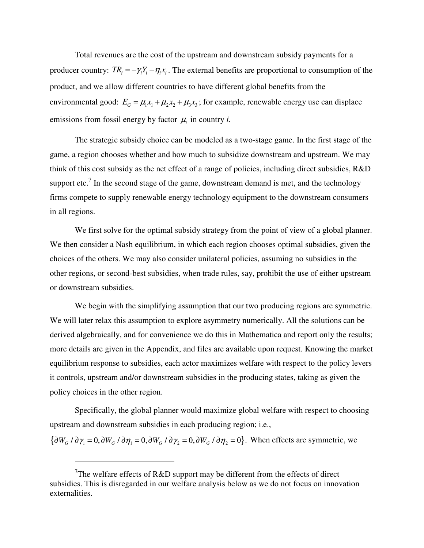Total revenues are the cost of the upstream and downstream subsidy payments for a producer country:  $TR_i = -\gamma_i Y_i - \eta_i x_i$ . The external benefits are proportional to consumption of the product, and we allow different countries to have different global benefits from the environmental good:  $E_G = \mu_1 x_1 + \mu_2 x_2 + \mu_3 x_3$ ; for example, renewable energy use can displace emissions from fossil energy by factor  $\mu_i$  in country *i*.

The strategic subsidy choice can be modeled as a two-stage game. In the first stage of the game, a region chooses whether and how much to subsidize downstream and upstream. We may think of this cost subsidy as the net effect of a range of policies, including direct subsidies, R&D support etc.<sup>7</sup> In the second stage of the game, downstream demand is met, and the technology firms compete to supply renewable energy technology equipment to the downstream consumers in all regions.

We first solve for the optimal subsidy strategy from the point of view of a global planner. We then consider a Nash equilibrium, in which each region chooses optimal subsidies, given the choices of the others. We may also consider unilateral policies, assuming no subsidies in the other regions, or second-best subsidies, when trade rules, say, prohibit the use of either upstream or downstream subsidies.

We begin with the simplifying assumption that our two producing regions are symmetric. We will later relax this assumption to explore asymmetry numerically. All the solutions can be derived algebraically, and for convenience we do this in Mathematica and report only the results; more details are given in the Appendix, and files are available upon request. Knowing the market equilibrium response to subsidies, each actor maximizes welfare with respect to the policy levers it controls, upstream and/or downstream subsidies in the producing states, taking as given the policy choices in the other region.

Specifically, the global planner would maximize global welfare with respect to choosing upstream and downstream subsidies in each producing region; i.e.,

 ${\partial W_G / \partial \gamma_1 = 0, \partial W_G / \partial \eta_1 = 0, \partial W_G / \partial \gamma_2 = 0, \partial W_G / \partial \eta_2 = 0}.$  When effects are symmetric, we

l

<sup>&</sup>lt;sup>7</sup>The welfare effects of R&D support may be different from the effects of direct subsidies. This is disregarded in our welfare analysis below as we do not focus on innovation externalities.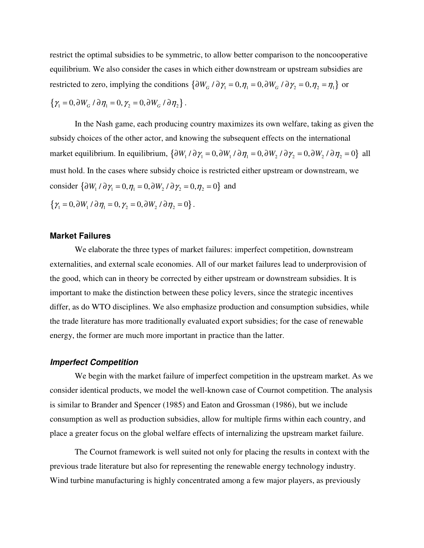restrict the optimal subsidies to be symmetric, to allow better comparison to the noncooperative equilibrium. We also consider the cases in which either downstream or upstream subsidies are restricted to zero, implying the conditions  $\{\partial W_G / \partial \gamma_1 = 0, \eta_1 = 0, \partial W_G / \partial \gamma_2 = 0, \eta_2 = \eta_1\}$  or  $\{\gamma_1 = 0, \partial W_G / \partial \eta_1 = 0, \gamma_2 = 0, \partial W_G / \partial \eta_2\}.$ 

In the Nash game, each producing country maximizes its own welfare, taking as given the subsidy choices of the other actor, and knowing the subsequent effects on the international market equilibrium. In equilibrium,  $\{\partial W_1 / \partial \gamma_1 = 0, \partial W_1 / \partial \eta_1 = 0, \partial W_2 / \partial \gamma_2 = 0, \partial W_2 / \partial \eta_2 = 0\}$  all must hold. In the cases where subsidy choice is restricted either upstream or downstream, we consider  $\{\partial W_1 / \partial \gamma_1 = 0, \eta_1 = 0, \partial W_2 / \partial \gamma_2 = 0, \eta_2 = 0\}$  and  $\{\gamma_1 = 0, \partial W_1 / \partial \eta_1 = 0, \gamma_2 = 0, \partial W_2 / \partial \eta_2 = 0\}.$ 

#### **Market Failures**

We elaborate the three types of market failures: imperfect competition, downstream externalities, and external scale economies. All of our market failures lead to underprovision of the good, which can in theory be corrected by either upstream or downstream subsidies. It is important to make the distinction between these policy levers, since the strategic incentives differ, as do WTO disciplines. We also emphasize production and consumption subsidies, while the trade literature has more traditionally evaluated export subsidies; for the case of renewable energy, the former are much more important in practice than the latter.

#### **Imperfect Competition**

We begin with the market failure of imperfect competition in the upstream market. As we consider identical products, we model the well-known case of Cournot competition. The analysis is similar to Brander and Spencer (1985) and Eaton and Grossman (1986), but we include consumption as well as production subsidies, allow for multiple firms within each country, and place a greater focus on the global welfare effects of internalizing the upstream market failure.

The Cournot framework is well suited not only for placing the results in context with the previous trade literature but also for representing the renewable energy technology industry. Wind turbine manufacturing is highly concentrated among a few major players, as previously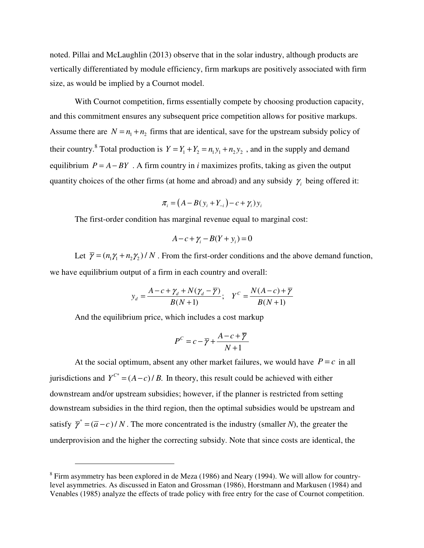noted. Pillai and McLaughlin (2013) observe that in the solar industry, although products are vertically differentiated by module efficiency, firm markups are positively associated with firm size, as would be implied by a Cournot model.

With Cournot competition, firms essentially compete by choosing production capacity, and this commitment ensures any subsequent price competition allows for positive markups. Assume there are  $N = n_1 + n_2$  firms that are identical, save for the upstream subsidy policy of their country.<sup>8</sup> Total production is  $Y = Y_1 + Y_2 = n_1y_1 + n_2y_2$ , and in the supply and demand equilibrium  $P = A - BY$ . A firm country in *i* maximizes profits, taking as given the output quantity choices of the other firms (at home and abroad) and any subsidy  $\gamma$ <sub>i</sub> being offered it:

$$
\pi_i = (A - B(y_i + Y_{-i}) - c + \gamma_i) y_i
$$

The first-order condition has marginal revenue equal to marginal cost:

$$
A - c + \gamma_i - B(Y + \gamma_i) = 0
$$

Let  $\overline{\gamma} = (n_1 \gamma_1 + n_2 \gamma_2) / N$ . From the first-order conditions and the above demand function, we have equilibrium output of a firm in each country and overall:

$$
y_d = \frac{A - c + \gamma_d + N(\gamma_d - \overline{\gamma})}{B(N+1)}; \quad Y^C = \frac{N(A-c) + \overline{\gamma}}{B(N+1)}
$$

And the equilibrium price, which includes a cost markup

 $\overline{a}$ 

$$
P^{C} = c - \overline{\gamma} + \frac{A - c + \overline{\gamma}}{N + 1}
$$

At the social optimum, absent any other market failures, we would have  $P = c$  in all jurisdictions and  $Y^{C^*} = (A - c) / B$ . In theory, this result could be achieved with either downstream and/or upstream subsidies; however, if the planner is restricted from setting downstream subsidies in the third region, then the optimal subsidies would be upstream and satisfy  $\bar{\gamma}^* = (\bar{a}-c)/N$ . The more concentrated is the industry (smaller *N*), the greater the underprovision and the higher the correcting subsidy. Note that since costs are identical, the

 $8$  Firm asymmetry has been explored in de Meza (1986) and Neary (1994). We will allow for countrylevel asymmetries. As discussed in Eaton and Grossman (1986), Horstmann and Markusen (1984) and Venables (1985) analyze the effects of trade policy with free entry for the case of Cournot competition.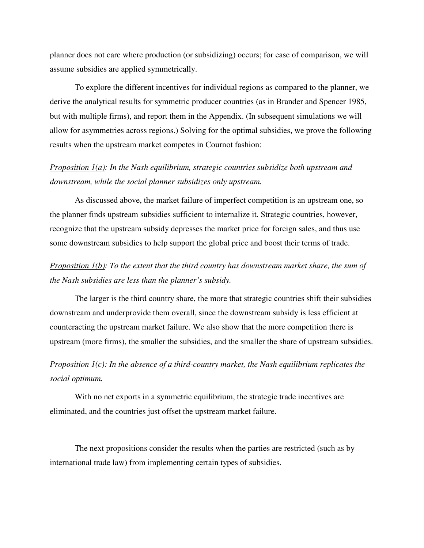planner does not care where production (or subsidizing) occurs; for ease of comparison, we will assume subsidies are applied symmetrically.

To explore the different incentives for individual regions as compared to the planner, we derive the analytical results for symmetric producer countries (as in Brander and Spencer 1985, but with multiple firms), and report them in the Appendix. (In subsequent simulations we will allow for asymmetries across regions.) Solving for the optimal subsidies, we prove the following results when the upstream market competes in Cournot fashion:

## *Proposition 1(a): In the Nash equilibrium, strategic countries subsidize both upstream and downstream, while the social planner subsidizes only upstream.*

As discussed above, the market failure of imperfect competition is an upstream one, so the planner finds upstream subsidies sufficient to internalize it. Strategic countries, however, recognize that the upstream subsidy depresses the market price for foreign sales, and thus use some downstream subsidies to help support the global price and boost their terms of trade.

# *Proposition 1(b): To the extent that the third country has downstream market share, the sum of the Nash subsidies are less than the planner's subsidy.*

The larger is the third country share, the more that strategic countries shift their subsidies downstream and underprovide them overall, since the downstream subsidy is less efficient at counteracting the upstream market failure. We also show that the more competition there is upstream (more firms), the smaller the subsidies, and the smaller the share of upstream subsidies.

# *Proposition 1(c): In the absence of a third-country market, the Nash equilibrium replicates the social optimum.*

With no net exports in a symmetric equilibrium, the strategic trade incentives are eliminated, and the countries just offset the upstream market failure.

The next propositions consider the results when the parties are restricted (such as by international trade law) from implementing certain types of subsidies.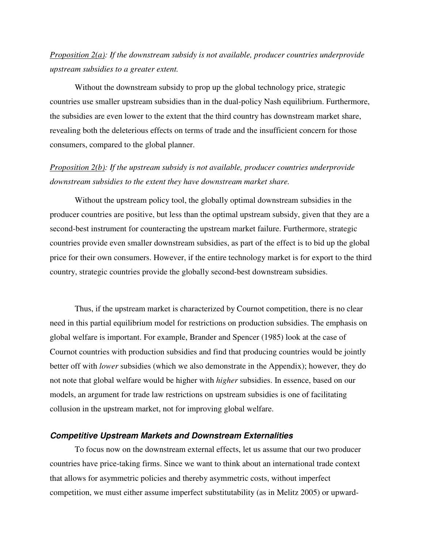## *Proposition 2(a): If the downstream subsidy is not available, producer countries underprovide upstream subsidies to a greater extent.*

Without the downstream subsidy to prop up the global technology price, strategic countries use smaller upstream subsidies than in the dual-policy Nash equilibrium. Furthermore, the subsidies are even lower to the extent that the third country has downstream market share, revealing both the deleterious effects on terms of trade and the insufficient concern for those consumers, compared to the global planner.

## *Proposition 2(b): If the upstream subsidy is not available, producer countries underprovide downstream subsidies to the extent they have downstream market share.*

Without the upstream policy tool, the globally optimal downstream subsidies in the producer countries are positive, but less than the optimal upstream subsidy, given that they are a second-best instrument for counteracting the upstream market failure. Furthermore, strategic countries provide even smaller downstream subsidies, as part of the effect is to bid up the global price for their own consumers. However, if the entire technology market is for export to the third country, strategic countries provide the globally second-best downstream subsidies.

Thus, if the upstream market is characterized by Cournot competition, there is no clear need in this partial equilibrium model for restrictions on production subsidies. The emphasis on global welfare is important. For example, Brander and Spencer (1985) look at the case of Cournot countries with production subsidies and find that producing countries would be jointly better off with *lower* subsidies (which we also demonstrate in the Appendix); however, they do not note that global welfare would be higher with *higher* subsidies. In essence, based on our models, an argument for trade law restrictions on upstream subsidies is one of facilitating collusion in the upstream market, not for improving global welfare.

#### **Competitive Upstream Markets and Downstream Externalities**

To focus now on the downstream external effects, let us assume that our two producer countries have price-taking firms. Since we want to think about an international trade context that allows for asymmetric policies and thereby asymmetric costs, without imperfect competition, we must either assume imperfect substitutability (as in Melitz 2005) or upward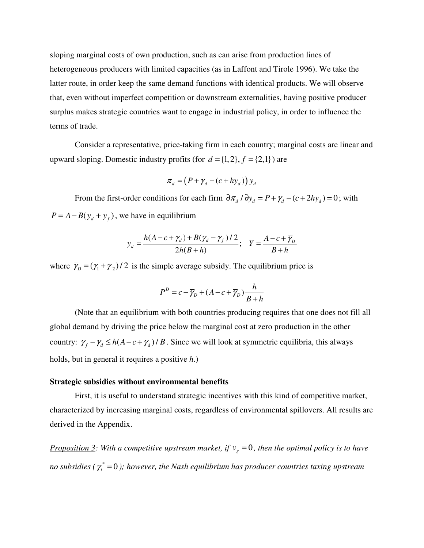sloping marginal costs of own production, such as can arise from production lines of heterogeneous producers with limited capacities (as in Laffont and Tirole 1996). We take the latter route, in order keep the same demand functions with identical products. We will observe that, even without imperfect competition or downstream externalities, having positive producer surplus makes strategic countries want to engage in industrial policy, in order to influence the terms of trade.

Consider a representative, price-taking firm in each country; marginal costs are linear and upward sloping. Domestic industry profits (for  $d = \{1, 2\}, f = \{2, 1\}$ ) are

$$
\pi_d = (P + \gamma_d - (c + hy_d)) y_d
$$

From the first-order conditions for each firm  $\frac{\partial \pi}{\partial y_d} = P + \gamma_d - (c + 2hy_d) = 0$ ; with  $P = A - B(y_d + y_f)$ , we have in equilibrium

$$
y_d = \frac{h(A - c + \gamma_d) + B(\gamma_d - \gamma_f)/2}{2h(B + h)}; \quad Y = \frac{A - c + \overline{\gamma}_b}{B + h}
$$

where  $\overline{\gamma}_D = (\gamma_1 + \gamma_2) / 2$  is the simple average subsidy. The equilibrium price is

$$
P^{D} = c - \overline{\gamma}_{D} + (A - c + \overline{\gamma}_{D}) \frac{h}{B + h}
$$

(Note that an equilibrium with both countries producing requires that one does not fill all global demand by driving the price below the marginal cost at zero production in the other country:  $\gamma_f - \gamma_d \le h(A - c + \gamma_d) / B$ . Since we will look at symmetric equilibria, this always holds, but in general it requires a positive *h*.)

#### **Strategic subsidies without environmental benefits**

First, it is useful to understand strategic incentives with this kind of competitive market, characterized by increasing marginal costs, regardless of environmental spillovers. All results are derived in the Appendix.

*<u>Proposition 3</u>: With a competitive upstream market, if*  $v_g = 0$ *, then the optimal policy is to have* no subsidies (  $\gamma_i^*$  =0 ); however, the Nash equilibrium has producer countries taxing upstream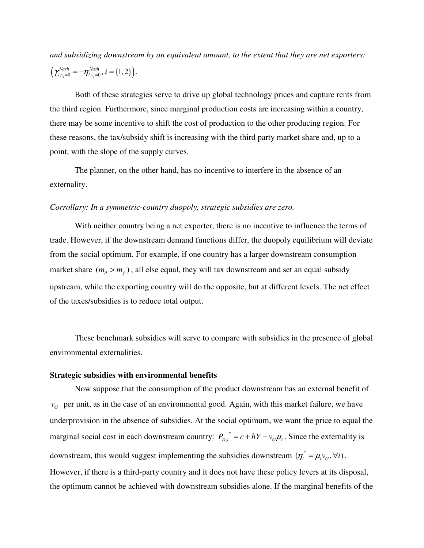*and subsidizing downstream by an equivalent amount, to the extent that they are net exporters:*   $(\gamma_{i, v_i=0}^{Nash} = -\eta_{i, v_i=0}^{Nash}, i = \{1, 2\})$ .

Both of these strategies serve to drive up global technology prices and capture rents from the third region. Furthermore, since marginal production costs are increasing within a country, there may be some incentive to shift the cost of production to the other producing region. For these reasons, the tax/subsidy shift is increasing with the third party market share and, up to a point, with the slope of the supply curves.

The planner, on the other hand, has no incentive to interfere in the absence of an externality.

#### *Corrollary: In a symmetric-country duopoly, strategic subsidies are zero.*

With neither country being a net exporter, there is no incentive to influence the terms of trade. However, if the downstream demand functions differ, the duopoly equilibrium will deviate from the social optimum. For example, if one country has a larger downstream consumption market share  $(m_a > m_f)$ , all else equal, they will tax downstream and set an equal subsidy upstream, while the exporting country will do the opposite, but at different levels. The net effect of the taxes/subsidies is to reduce total output.

These benchmark subsidies will serve to compare with subsidies in the presence of global environmental externalities.

#### **Strategic subsidies with environmental benefits**

Now suppose that the consumption of the product downstream has an external benefit of  $v_G$  per unit, as in the case of an environmental good. Again, with this market failure, we have underprovision in the absence of subsidies. At the social optimum, we want the price to equal the marginal social cost in each downstream country:  $P_{D,i}^* = c + hY - v_G\mu_i$ . Since the externality is downstream, this would suggest implementing the subsidies downstream  $(\eta_i^* = \mu_i v_G, \forall i)$ . However, if there is a third-party country and it does not have these policy levers at its disposal, the optimum cannot be achieved with downstream subsidies alone. If the marginal benefits of the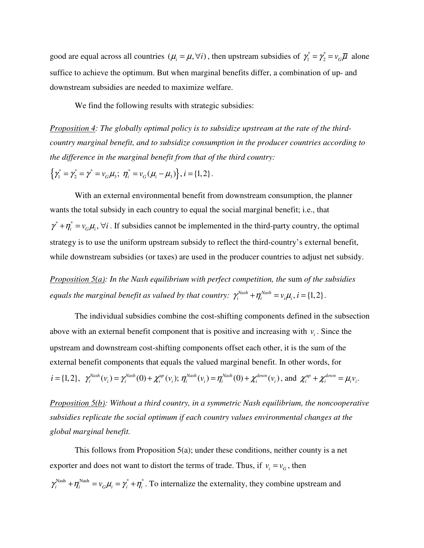good are equal across all countries  $(\mu_i = \mu, \forall i)$ , then upstream subsidies of  $\gamma_1^* = \gamma_2^* = v_G \overline{\mu}$  alone suffice to achieve the optimum. But when marginal benefits differ, a combination of up- and downstream subsidies are needed to maximize welfare.

We find the following results with strategic subsidies:

*Proposition 4: The globally optimal policy is to subsidize upstream at the rate of the thirdcountry marginal benefit, and to subsidize consumption in the producer countries according to the difference in the marginal benefit from that of the third country:* 

 $\{\gamma_1^* = \gamma_2^* = \gamma^* = v_G \mu_3; \; \eta_i^* = v_G (\mu_i - \mu_3)\}, i = \{1, 2\}.$ 

With an external environmental benefit from downstream consumption, the planner wants the total subsidy in each country to equal the social marginal benefit; i.e., that  $\gamma^* + \eta_i^* = v_G \mu_i$ ,  $\forall i$ . If subsidies cannot be implemented in the third-party country, the optimal strategy is to use the uniform upstream subsidy to reflect the third-country's external benefit, while downstream subsidies (or taxes) are used in the producer countries to adjust net subsidy.

*Proposition 5(a): In the Nash equilibrium with perfect competition, the sum of the subsidies equals the marginal benefit as valued by that country:*  $\gamma_i^{Nash} + \eta_i^{Nash} = v_i \mu_i$ ,  $i = \{1, 2\}$ .

The individual subsidies combine the cost-shifting components defined in the subsection above with an external benefit component that is positive and increasing with  $v_i$ . Since the upstream and downstream cost-shifting components offset each other, it is the sum of the external benefit components that equals the valued marginal benefit. In other words, for  $i = \{1, 2\}, \ \ \gamma_i^{Nash}(v_i) = \gamma_i^{Nash}(0) + \chi_i^{up}(v_i); \ \eta_i^{Nash}(v_i) = \eta_i^{Nash}(0) + \chi_i^{down}(v_i)$ , and  $\chi_i^{up} + \chi_i^{down} = \mu_i v_i$ .

*Proposition 5(b): Without a third country, in a symmetric Nash equilibrium, the noncooperative subsidies replicate the social optimum if each country values environmental changes at the global marginal benefit.* 

This follows from Proposition 5(a); under these conditions, neither county is a net exporter and does not want to distort the terms of trade. Thus, if  $v_i = v_G$ , then  $\gamma_i^{\text{Nash}} + \eta_i^{\text{Nash}} = v_G \mu_i = \gamma_i^* + \eta_i^*$ . To internalize the externality, they combine upstream and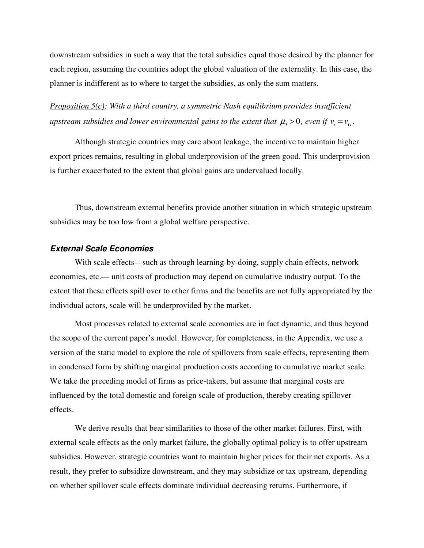downstream subsidies in such a way that the total subsidies equal those desired by the planner for each region, assuming the countries adopt the global valuation of the externality. In this case, the planner is indifferent as to where to target the subsidies, as only the sum matters.

*Proposition 5(c): With a third country, a symmetric Nash equilibrium provides insufficient upstream subsidies and lower environmental gains to the extent that*  $\mu$ *<sub>3</sub> > 0, even if*  $v_i = v_G$ *.* 

Although strategic countries may care about leakage, the incentive to maintain higher export prices remains, resulting in global underprovision of the green good. This underprovision is further exacerbated to the extent that global gains are undervalued locally.

Thus, downstream external benefits provide another situation in which strategic upstream subsidies may be too low from a global welfare perspective.

#### **External Scale Economies**

With scale effects—such as through learning-by-doing, supply chain effects, network economies, etc.— unit costs of production may depend on cumulative industry output. To the extent that these effects spill over to other firms and the benefits are not fully appropriated by the individual actors, scale will be underprovided by the market.

Most processes related to external scale economies are in fact dynamic, and thus beyond the scope of the current paper's model. However, for completeness, in the Appendix, we use a version of the static model to explore the role of spillovers from scale effects, representing them in condensed form by shifting marginal production costs according to cumulative market scale. We take the preceding model of firms as price-takers, but assume that marginal costs are influenced by the total domestic and foreign scale of production, thereby creating spillover effects.

We derive results that bear similarities to those of the other market failures. First, with external scale effects as the only market failure, the globally optimal policy is to offer upstream subsidies. However, strategic countries want to maintain higher prices for their net exports. As a result, they prefer to subsidize downstream, and they may subsidize or tax upstream, depending on whether spillover scale effects dominate individual decreasing returns. Furthermore, if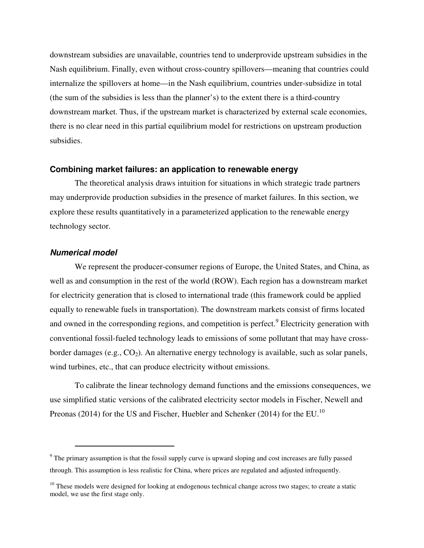downstream subsidies are unavailable, countries tend to underprovide upstream subsidies in the Nash equilibrium. Finally, even without cross-country spillovers—meaning that countries could internalize the spillovers at home—in the Nash equilibrium, countries under-subsidize in total (the sum of the subsidies is less than the planner's) to the extent there is a third-country downstream market. Thus, if the upstream market is characterized by external scale economies, there is no clear need in this partial equilibrium model for restrictions on upstream production subsidies.

## **Combining market failures: an application to renewable energy**

The theoretical analysis draws intuition for situations in which strategic trade partners may underprovide production subsidies in the presence of market failures. In this section, we explore these results quantitatively in a parameterized application to the renewable energy technology sector.

## **Numerical model**

 $\overline{a}$ 

We represent the producer-consumer regions of Europe, the United States, and China, as well as and consumption in the rest of the world (ROW). Each region has a downstream market for electricity generation that is closed to international trade (this framework could be applied equally to renewable fuels in transportation). The downstream markets consist of firms located and owned in the corresponding regions, and competition is perfect.<sup>9</sup> Electricity generation with conventional fossil-fueled technology leads to emissions of some pollutant that may have crossborder damages (e.g.,  $CO<sub>2</sub>$ ). An alternative energy technology is available, such as solar panels, wind turbines, etc., that can produce electricity without emissions.

To calibrate the linear technology demand functions and the emissions consequences, we use simplified static versions of the calibrated electricity sector models in Fischer, Newell and Preonas (2014) for the US and Fischer, Huebler and Schenker (2014) for the EU.<sup>10</sup>

<sup>&</sup>lt;sup>9</sup> The primary assumption is that the fossil supply curve is upward sloping and cost increases are fully passed through. This assumption is less realistic for China, where prices are regulated and adjusted infrequently.

 $10$  These models were designed for looking at endogenous technical change across two stages; to create a static model, we use the first stage only.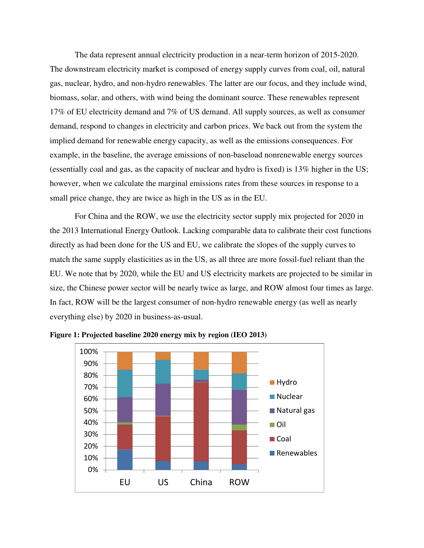The data represent annual electricity production in a near-term horizon of 2015-2020. The downstream electricity market is composed of energy supply curves from coal, oil, natural gas, nuclear, hydro, and non-hydro renewables. The latter are our focus, and they include wind, biomass, solar, and others, with wind being the dominant source. These renewables represent 17% of EU electricity demand and 7% of US demand. All supply sources, as well as consumer demand, respond to changes in electricity and carbon prices. We back out from the system the implied demand for renewable energy capacity, as well as the emissions consequences. For example, in the baseline, the average emissions of non-baseload nonrenewable energy sources (essentially coal and gas, as the capacity of nuclear and hydro is fixed) is 13% higher in the US; however, when we calculate the marginal emissions rates from these sources in response to a small price change, they are twice as high in the US as in the EU.

For China and the ROW, we use the electricity sector supply mix projected for 2020 in the 2013 International Energy Outlook. Lacking comparable data to calibrate their cost functions directly as had been done for the US and EU, we calibrate the slopes of the supply curves to match the same supply elasticities as in the US, as all three are more fossil-fuel reliant than the EU. We note that by 2020, while the EU and US electricity markets are projected to be similar in size, the Chinese power sector will be nearly twice as large, and ROW almost four times as large. In fact, ROW will be the largest consumer of non-hydro renewable energy (as well as nearly everything else) by 2020 in business-as-usual.



**Figure 1: Projected baseline 2020 energy mix by region (IEO 2013)**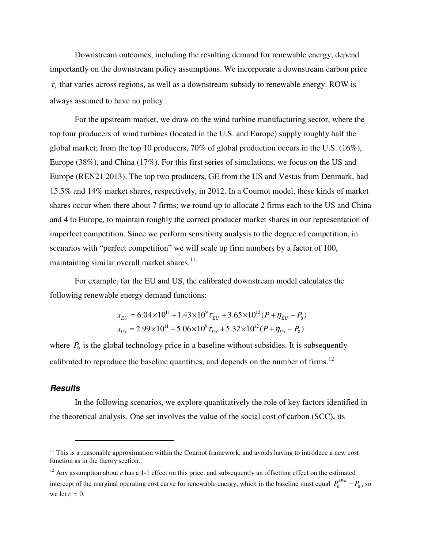Downstream outcomes, including the resulting demand for renewable energy, depend importantly on the downstream policy assumptions. We incorporate a downstream carbon price  $\tau$ <sub>i</sub> that varies across regions, as well as a downstream subsidy to renewable energy. ROW is always assumed to have no policy.

For the upstream market, we draw on the wind turbine manufacturing sector, where the top four producers of wind turbines (located in the U.S. and Europe) supply roughly half the global market; from the top 10 producers, 70% of global production occurs in the U.S. (16%), Europe (38%), and China (17%). For this first series of simulations, we focus on the US and Europe (REN21 2013). The top two producers, GE from the US and Vestas from Denmark, had 15.5% and 14% market shares, respectively, in 2012. In a Cournot model, these kinds of market shares occur when there about 7 firms; we round up to allocate 2 firms each to the US and China and 4 to Europe, to maintain roughly the correct producer market shares in our representation of imperfect competition. Since we perform sensitivity analysis to the degree of competition, in scenarios with "perfect competition" we will scale up firm numbers by a factor of 100, maintaining similar overall market shares.<sup>11</sup>

For example, for the EU and US, the calibrated downstream model calculates the following renewable energy demand functions:

$$
x_{EU} = 6.04 \times 10^{11} + 1.43 \times 10^{9} \tau_{EU} + 3.65 \times 10^{12} (P + \eta_{EU} - P_0)
$$
  

$$
x_{US} = 2.99 \times 10^{11} + 5.06 \times 10^{9} \tau_{US} + 5.32 \times 10^{12} (P + \eta_{US} - P_0)
$$

where  $P_0$  is the global technology price in a baseline without subsidies. It is subsequently calibrated to reproduce the baseline quantities, and depends on the number of firms.<sup>12</sup>

## **Results**

l

In the following scenarios, we explore quantitatively the role of key factors identified in the theoretical analysis. One set involves the value of the social cost of carbon (SCC), its

 $11$  This is a reasonable approximation within the Cournot framework, and avoids having to introduce a new cost function as in the theory section.

<sup>&</sup>lt;sup>12</sup> Any assumption about *c* has a 1-1 effect on this price, and subsequently an offsetting effect on the estimated intercept of the marginal operating cost curve for renewable energy, which in the baseline must equal  $P_0^{kWh} - P_0$ , so we let *c =* 0.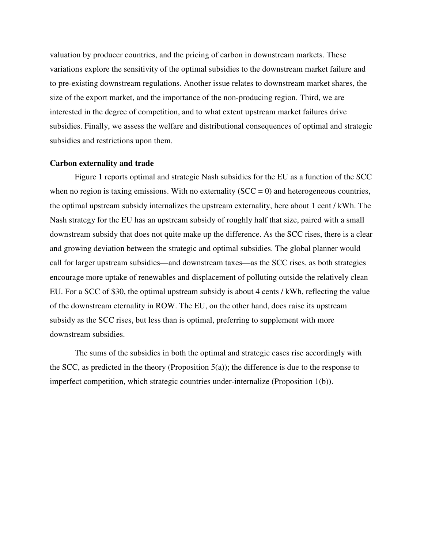valuation by producer countries, and the pricing of carbon in downstream markets. These variations explore the sensitivity of the optimal subsidies to the downstream market failure and to pre-existing downstream regulations. Another issue relates to downstream market shares, the size of the export market, and the importance of the non-producing region. Third, we are interested in the degree of competition, and to what extent upstream market failures drive subsidies. Finally, we assess the welfare and distributional consequences of optimal and strategic subsidies and restrictions upon them.

#### **Carbon externality and trade**

Figure 1 reports optimal and strategic Nash subsidies for the EU as a function of the SCC when no region is taxing emissions. With no externality  $(SCC = 0)$  and heterogeneous countries, the optimal upstream subsidy internalizes the upstream externality, here about 1 cent / kWh. The Nash strategy for the EU has an upstream subsidy of roughly half that size, paired with a small downstream subsidy that does not quite make up the difference. As the SCC rises, there is a clear and growing deviation between the strategic and optimal subsidies. The global planner would call for larger upstream subsidies—and downstream taxes—as the SCC rises, as both strategies encourage more uptake of renewables and displacement of polluting outside the relatively clean EU. For a SCC of \$30, the optimal upstream subsidy is about 4 cents / kWh, reflecting the value of the downstream eternality in ROW. The EU, on the other hand, does raise its upstream subsidy as the SCC rises, but less than is optimal, preferring to supplement with more downstream subsidies.

The sums of the subsidies in both the optimal and strategic cases rise accordingly with the SCC, as predicted in the theory (Proposition  $5(a)$ ); the difference is due to the response to imperfect competition, which strategic countries under-internalize (Proposition 1(b)).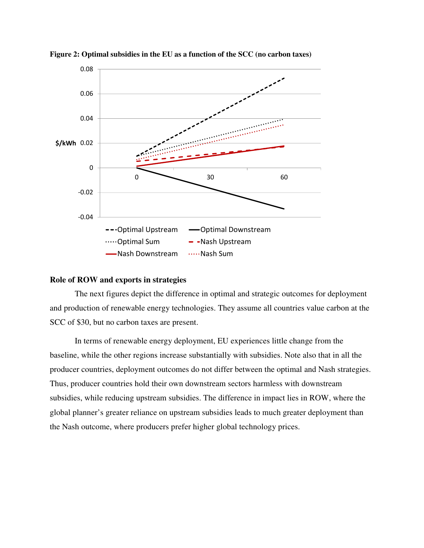

**Figure 2: Optimal subsidies in the EU as a function of the SCC (no carbon taxes)** 

#### **Role of ROW and exports in strategies**

The next figures depict the difference in optimal and strategic outcomes for deployment and production of renewable energy technologies. They assume all countries value carbon at the SCC of \$30, but no carbon taxes are present.

In terms of renewable energy deployment, EU experiences little change from the baseline, while the other regions increase substantially with subsidies. Note also that in all the producer countries, deployment outcomes do not differ between the optimal and Nash strategies. Thus, producer countries hold their own downstream sectors harmless with downstream subsidies, while reducing upstream subsidies. The difference in impact lies in ROW, where the global planner's greater reliance on upstream subsidies leads to much greater deployment than the Nash outcome, where producers prefer higher global technology prices.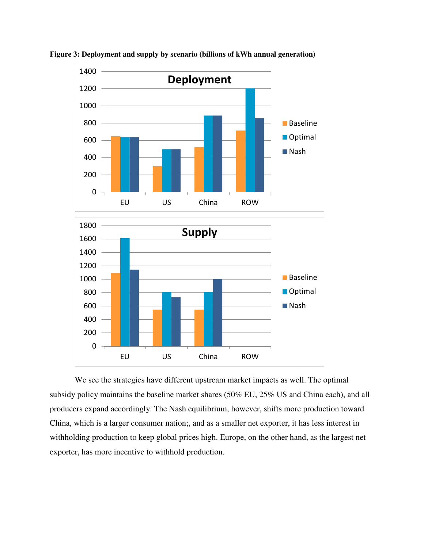

**Figure 3: Deployment and supply by scenario (billions of kWh annual generation)** 

We see the strategies have different upstream market impacts as well. The optimal subsidy policy maintains the baseline market shares (50% EU, 25% US and China each), and all producers expand accordingly. The Nash equilibrium, however, shifts more production toward China, which is a larger consumer nation;, and as a smaller net exporter, it has less interest in withholding production to keep global prices high. Europe, on the other hand, as the largest net exporter, has more incentive to withhold production.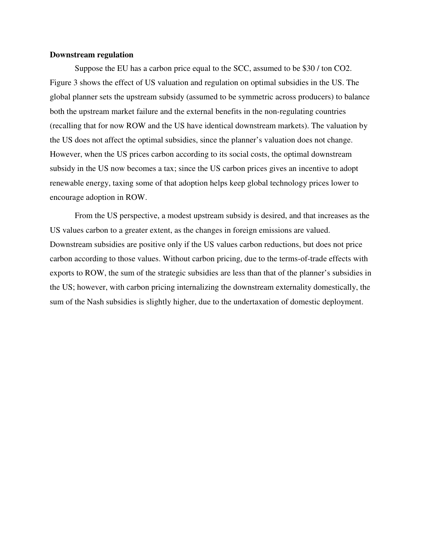#### **Downstream regulation**

Suppose the EU has a carbon price equal to the SCC, assumed to be \$30 / ton CO2. Figure 3 shows the effect of US valuation and regulation on optimal subsidies in the US. The global planner sets the upstream subsidy (assumed to be symmetric across producers) to balance both the upstream market failure and the external benefits in the non-regulating countries (recalling that for now ROW and the US have identical downstream markets). The valuation by the US does not affect the optimal subsidies, since the planner's valuation does not change. However, when the US prices carbon according to its social costs, the optimal downstream subsidy in the US now becomes a tax; since the US carbon prices gives an incentive to adopt renewable energy, taxing some of that adoption helps keep global technology prices lower to encourage adoption in ROW.

From the US perspective, a modest upstream subsidy is desired, and that increases as the US values carbon to a greater extent, as the changes in foreign emissions are valued. Downstream subsidies are positive only if the US values carbon reductions, but does not price carbon according to those values. Without carbon pricing, due to the terms-of-trade effects with exports to ROW, the sum of the strategic subsidies are less than that of the planner's subsidies in the US; however, with carbon pricing internalizing the downstream externality domestically, the sum of the Nash subsidies is slightly higher, due to the undertaxation of domestic deployment.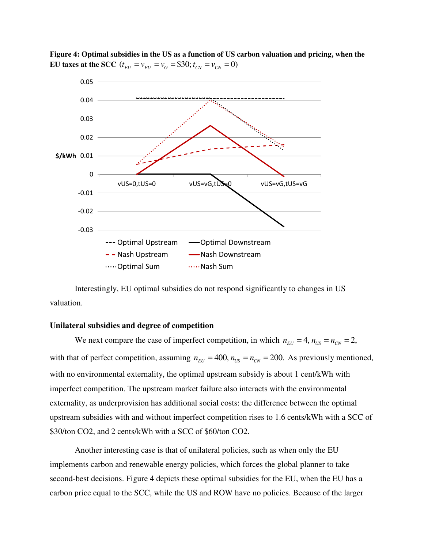

**Figure 4: Optimal subsidies in the US as a function of US carbon valuation and pricing, when the EU taxes at the SCC**  $(t_{EU} = v_{EU} = v_G = $30; t_{CN} = v_{CN} = 0)$ 

Interestingly, EU optimal subsidies do not respond significantly to changes in US valuation.

#### **Unilateral subsidies and degree of competition**

We next compare the case of imperfect competition, in which  $n_{EU} = 4$ ,  $n_{US} = n_{CN} = 2$ , with that of perfect competition, assuming  $n_{EV} = 400$ ,  $n_{US} = n_{CN} = 200$ . As previously mentioned, with no environmental externality, the optimal upstream subsidy is about 1 cent/kWh with imperfect competition. The upstream market failure also interacts with the environmental externality, as underprovision has additional social costs: the difference between the optimal upstream subsidies with and without imperfect competition rises to 1.6 cents/kWh with a SCC of \$30/ton CO2, and 2 cents/kWh with a SCC of \$60/ton CO2.

Another interesting case is that of unilateral policies, such as when only the EU implements carbon and renewable energy policies, which forces the global planner to take second-best decisions. Figure 4 depicts these optimal subsidies for the EU, when the EU has a carbon price equal to the SCC, while the US and ROW have no policies. Because of the larger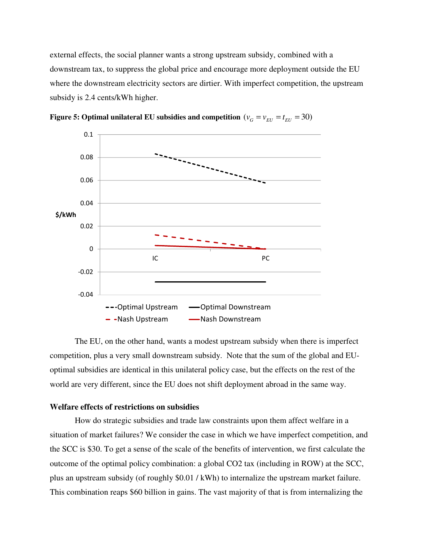external effects, the social planner wants a strong upstream subsidy, combined with a downstream tax, to suppress the global price and encourage more deployment outside the EU where the downstream electricity sectors are dirtier. With imperfect competition, the upstream subsidy is 2.4 cents/kWh higher.



**Figure 5: Optimal unilateral EU subsidies and competition**  $(v_G = v_{_{\text{EII}}} = t_{_{\text{EII}}} = 30)$ 

The EU, on the other hand, wants a modest upstream subsidy when there is imperfect competition, plus a very small downstream subsidy. Note that the sum of the global and EUoptimal subsidies are identical in this unilateral policy case, but the effects on the rest of the world are very different, since the EU does not shift deployment abroad in the same way.

## **Welfare effects of restrictions on subsidies**

How do strategic subsidies and trade law constraints upon them affect welfare in a situation of market failures? We consider the case in which we have imperfect competition, and the SCC is \$30. To get a sense of the scale of the benefits of intervention, we first calculate the outcome of the optimal policy combination: a global CO2 tax (including in ROW) at the SCC, plus an upstream subsidy (of roughly \$0.01 / kWh) to internalize the upstream market failure. This combination reaps \$60 billion in gains. The vast majority of that is from internalizing the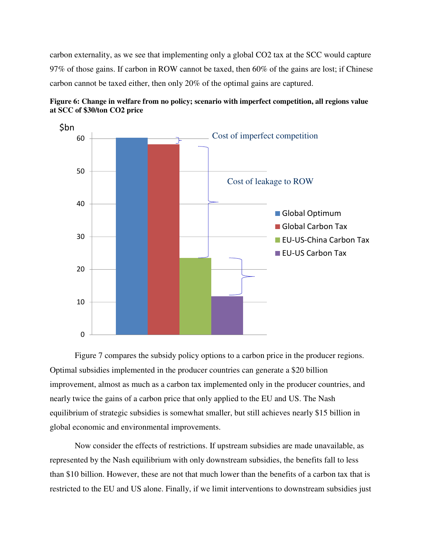carbon externality, as we see that implementing only a global CO2 tax at the SCC would capture 97% of those gains. If carbon in ROW cannot be taxed, then 60% of the gains are lost; if Chinese carbon cannot be taxed either, then only 20% of the optimal gains are captured.



**Figure 6: Change in welfare from no policy; scenario with imperfect competition, all regions value at SCC of \$30/ton CO2 price** 

Figure 7 compares the subsidy policy options to a carbon price in the producer regions. Optimal subsidies implemented in the producer countries can generate a \$20 billion improvement, almost as much as a carbon tax implemented only in the producer countries, and nearly twice the gains of a carbon price that only applied to the EU and US. The Nash equilibrium of strategic subsidies is somewhat smaller, but still achieves nearly \$15 billion in global economic and environmental improvements.

Now consider the effects of restrictions. If upstream subsidies are made unavailable, as represented by the Nash equilibrium with only downstream subsidies, the benefits fall to less than \$10 billion. However, these are not that much lower than the benefits of a carbon tax that is restricted to the EU and US alone. Finally, if we limit interventions to downstream subsidies just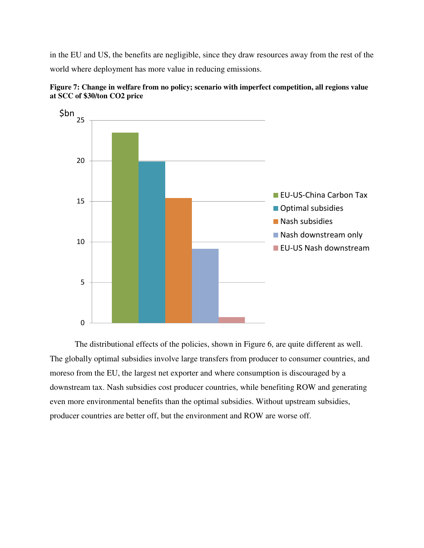in the EU and US, the benefits are negligible, since they draw resources away from the rest of the world where deployment has more value in reducing emissions.





The distributional effects of the policies, shown in Figure 6, are quite different as well. The globally optimal subsidies involve large transfers from producer to consumer countries, and moreso from the EU, the largest net exporter and where consumption is discouraged by a downstream tax. Nash subsidies cost producer countries, while benefiting ROW and generating even more environmental benefits than the optimal subsidies. Without upstream subsidies, producer countries are better off, but the environment and ROW are worse off.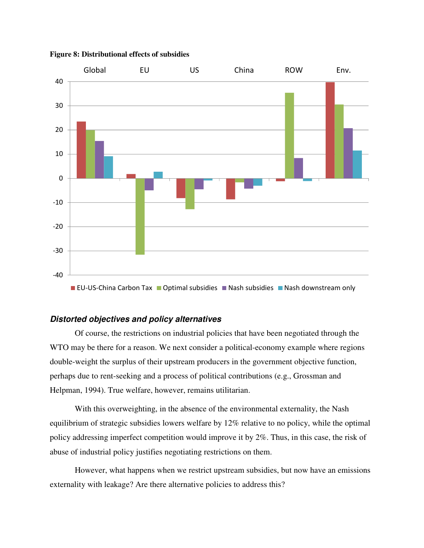

**Figure 8: Distributional effects of subsidies** 

## **Distorted objectives and policy alternatives**

Of course, the restrictions on industrial policies that have been negotiated through the WTO may be there for a reason. We next consider a political-economy example where regions double-weight the surplus of their upstream producers in the government objective function, perhaps due to rent-seeking and a process of political contributions (e.g., Grossman and Helpman, 1994). True welfare, however, remains utilitarian.

With this overweighting, in the absence of the environmental externality, the Nash equilibrium of strategic subsidies lowers welfare by 12% relative to no policy, while the optimal policy addressing imperfect competition would improve it by 2%. Thus, in this case, the risk of abuse of industrial policy justifies negotiating restrictions on them.

However, what happens when we restrict upstream subsidies, but now have an emissions externality with leakage? Are there alternative policies to address this?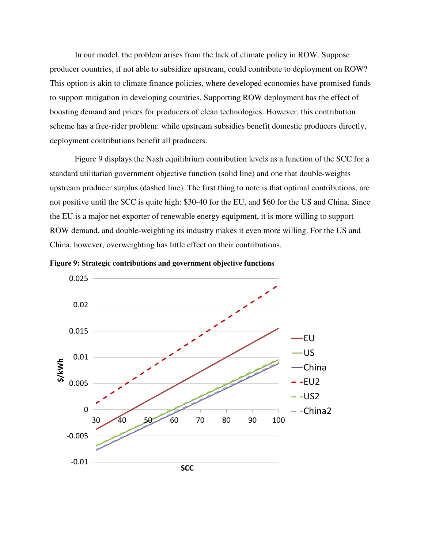In our model, the problem arises from the lack of climate policy in ROW. Suppose producer countries, if not able to subsidize upstream, could contribute to deployment on ROW? This option is akin to climate finance policies, where developed economies have promised funds to support mitigation in developing countries. Supporting ROW deployment has the effect of boosting demand and prices for producers of clean technologies. However, this contribution scheme has a free-rider problem: while upstream subsidies benefit domestic producers directly, deployment contributions benefit all producers.

Figure 9 displays the Nash equilibrium contribution levels as a function of the SCC for a standard utilitarian government objective function (solid line) and one that double-weights upstream producer surplus (dashed line). The first thing to note is that optimal contributions, are not positive until the SCC is quite high: \$30-40 for the EU, and \$60 for the US and China. Since the EU is a major net exporter of renewable energy equipment, it is more willing to support ROW demand, and double-weighting its industry makes it even more willing. For the US and China, however, overweighting has little effect on their contributions.



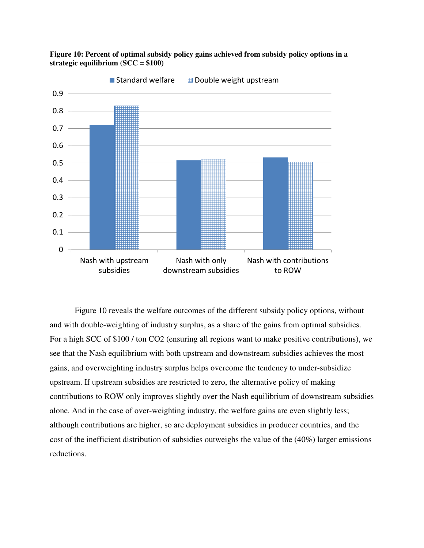

**Figure 10: Percent of optimal subsidy policy gains achieved from subsidy policy options in a strategic equilibrium (SCC = \$100)** 

Figure 10 reveals the welfare outcomes of the different subsidy policy options, without and with double-weighting of industry surplus, as a share of the gains from optimal subsidies. For a high SCC of \$100 / ton CO2 (ensuring all regions want to make positive contributions), we see that the Nash equilibrium with both upstream and downstream subsidies achieves the most gains, and overweighting industry surplus helps overcome the tendency to under-subsidize upstream. If upstream subsidies are restricted to zero, the alternative policy of making contributions to ROW only improves slightly over the Nash equilibrium of downstream subsidies alone. And in the case of over-weighting industry, the welfare gains are even slightly less; although contributions are higher, so are deployment subsidies in producer countries, and the cost of the inefficient distribution of subsidies outweighs the value of the (40%) larger emissions reductions.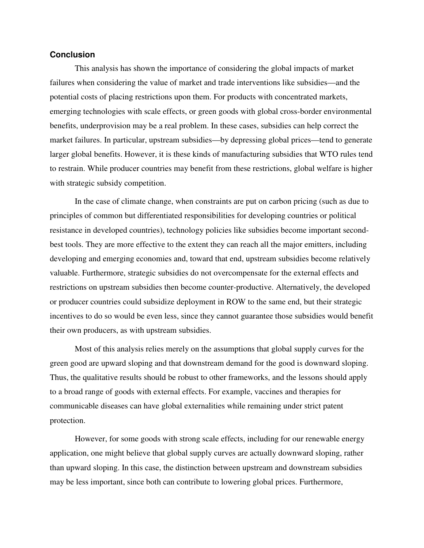## **Conclusion**

This analysis has shown the importance of considering the global impacts of market failures when considering the value of market and trade interventions like subsidies—and the potential costs of placing restrictions upon them. For products with concentrated markets, emerging technologies with scale effects, or green goods with global cross-border environmental benefits, underprovision may be a real problem. In these cases, subsidies can help correct the market failures. In particular, upstream subsidies—by depressing global prices—tend to generate larger global benefits. However, it is these kinds of manufacturing subsidies that WTO rules tend to restrain. While producer countries may benefit from these restrictions, global welfare is higher with strategic subsidy competition.

In the case of climate change, when constraints are put on carbon pricing (such as due to principles of common but differentiated responsibilities for developing countries or political resistance in developed countries), technology policies like subsidies become important secondbest tools. They are more effective to the extent they can reach all the major emitters, including developing and emerging economies and, toward that end, upstream subsidies become relatively valuable. Furthermore, strategic subsidies do not overcompensate for the external effects and restrictions on upstream subsidies then become counter-productive. Alternatively, the developed or producer countries could subsidize deployment in ROW to the same end, but their strategic incentives to do so would be even less, since they cannot guarantee those subsidies would benefit their own producers, as with upstream subsidies.

Most of this analysis relies merely on the assumptions that global supply curves for the green good are upward sloping and that downstream demand for the good is downward sloping. Thus, the qualitative results should be robust to other frameworks, and the lessons should apply to a broad range of goods with external effects. For example, vaccines and therapies for communicable diseases can have global externalities while remaining under strict patent protection.

However, for some goods with strong scale effects, including for our renewable energy application, one might believe that global supply curves are actually downward sloping, rather than upward sloping. In this case, the distinction between upstream and downstream subsidies may be less important, since both can contribute to lowering global prices. Furthermore,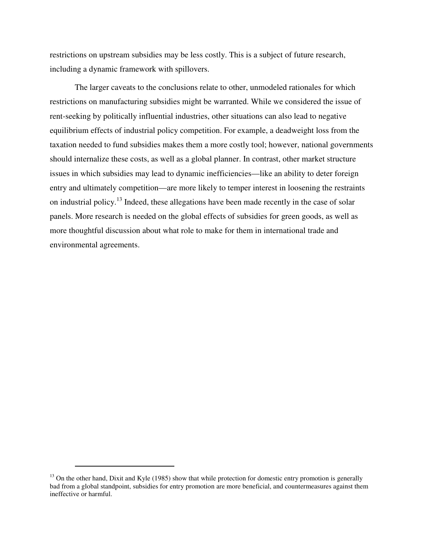restrictions on upstream subsidies may be less costly. This is a subject of future research, including a dynamic framework with spillovers.

The larger caveats to the conclusions relate to other, unmodeled rationales for which restrictions on manufacturing subsidies might be warranted. While we considered the issue of rent-seeking by politically influential industries, other situations can also lead to negative equilibrium effects of industrial policy competition. For example, a deadweight loss from the taxation needed to fund subsidies makes them a more costly tool; however, national governments should internalize these costs, as well as a global planner. In contrast, other market structure issues in which subsidies may lead to dynamic inefficiencies—like an ability to deter foreign entry and ultimately competition—are more likely to temper interest in loosening the restraints on industrial policy.<sup>13</sup> Indeed, these allegations have been made recently in the case of solar panels. More research is needed on the global effects of subsidies for green goods, as well as more thoughtful discussion about what role to make for them in international trade and environmental agreements.

 $\overline{a}$ 

 $^{13}$  On the other hand, Dixit and Kyle (1985) show that while protection for domestic entry promotion is generally bad from a global standpoint, subsidies for entry promotion are more beneficial, and countermeasures against them ineffective or harmful.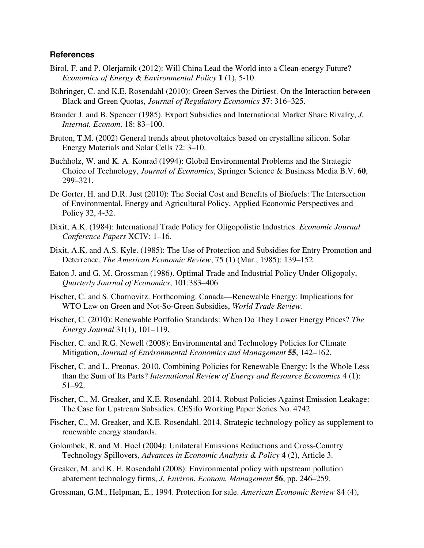## **References**

- Birol, F. and P. Olerjarnik (2012): Will China Lead the World into a Clean-energy Future? *Economics of Energy & Environmental Policy* **1** (1), 5-10.
- Böhringer, C. and K.E. Rosendahl (2010): Green Serves the Dirtiest. On the Interaction between Black and Green Quotas, *Journal of Regulatory Economics* **37**: 316–325.
- Brander J. and B. Spencer (1985). Export Subsidies and International Market Share Rivalry, *J. Internat. Econom*. 18: 83–100.
- Bruton, T.M. (2002) General trends about photovoltaics based on crystalline silicon. Solar Energy Materials and Solar Cells 72: 3–10.
- Buchholz, W. and K. A. Konrad (1994): Global Environmental Problems and the Strategic Choice of Technology, *Journal of Economics*, Springer Science & Business Media B.V. **60**, 299–321.
- De Gorter, H. and D.R. Just (2010): The Social Cost and Benefits of Biofuels: The Intersection of Environmental, Energy and Agricultural Policy, Applied Economic Perspectives and Policy 32, 4-32.
- Dixit, A.K. (1984): International Trade Policy for Oligopolistic Industries. *Economic Journal Conference Papers* XCIV: 1–16.
- Dixit, A.K. and A.S. Kyle. (1985): The Use of Protection and Subsidies for Entry Promotion and Deterrence. *The American Economic Review*, 75 (1) (Mar., 1985): 139–152.
- Eaton J. and G. M. Grossman (1986). Optimal Trade and Industrial Policy Under Oligopoly, *Quarterly Journal of Economics*, 101:383–406
- Fischer, C. and S. Charnovitz. Forthcoming. Canada—Renewable Energy: Implications for WTO Law on Green and Not-So-Green Subsidies, *World Trade Review*.
- Fischer, C. (2010): Renewable Portfolio Standards: When Do They Lower Energy Prices? *The Energy Journal* 31(1), 101–119.
- Fischer, C. and R.G. Newell (2008): Environmental and Technology Policies for Climate Mitigation, *Journal of Environmental Economics and Management* **55**, 142–162.
- Fischer, C. and L. Preonas. 2010. Combining Policies for Renewable Energy: Is the Whole Less than the Sum of Its Parts? *International Review of Energy and Resource Economics* 4 (1): 51–92.
- Fischer, C., M. Greaker, and K.E. Rosendahl. 2014. Robust Policies Against Emission Leakage: The Case for Upstream Subsidies. CESifo Working Paper Series No. 4742
- Fischer, C., M. Greaker, and K.E. Rosendahl. 2014. Strategic technology policy as supplement to renewable energy standards.
- Golombek, R. and M. Hoel (2004): Unilateral Emissions Reductions and Cross-Country Technology Spillovers, *Advances in Economic Analysis & Policy* **4** (2), Article 3.
- Greaker, M. and K. E. Rosendahl (2008): Environmental policy with upstream pollution abatement technology firms, *J. Environ. Econom. Management* **56**, pp. 246–259.
- Grossman, G.M., Helpman, E., 1994. Protection for sale. *American Economic Review* 84 (4),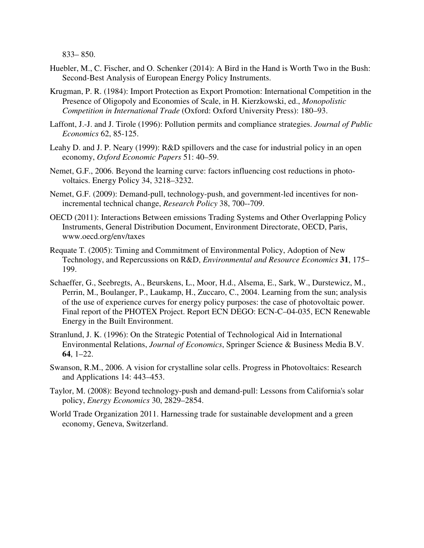833– 850.

- Huebler, M., C. Fischer, and O. Schenker (2014): A Bird in the Hand is Worth Two in the Bush: Second-Best Analysis of European Energy Policy Instruments.
- Krugman, P. R. (1984): Import Protection as Export Promotion: International Competition in the Presence of Oligopoly and Economies of Scale, in H. Kierzkowski, ed., *Monopolistic Competition in International Trade* (Oxford: Oxford University Press): 180–93.
- Laffont, J.-J. and J. Tirole (1996): Pollution permits and compliance strategies. *Journal of Public Economics* 62, 85-125.
- Leahy D. and J. P. Neary (1999): R&D spillovers and the case for industrial policy in an open economy, *Oxford Economic Papers* 51: 40–59.
- Nemet, G.F., 2006. Beyond the learning curve: factors influencing cost reductions in photovoltaics. Energy Policy 34, 3218–3232.
- Nemet, G.F. (2009): Demand-pull, technology-push, and government-led incentives for nonincremental technical change, *Research Policy* 38, 700--709.
- OECD (2011): Interactions Between emissions Trading Systems and Other Overlapping Policy Instruments, General Distribution Document, Environment Directorate, OECD, Paris, www.oecd.org/env/taxes
- Requate T. (2005): Timing and Commitment of Environmental Policy, Adoption of New Technology, and Repercussions on R&D, *Environmental and Resource Economics* **31**, 175– 199.
- Schaeffer, G., Seebregts, A., Beurskens, L., Moor, H.d., Alsema, E., Sark, W., Durstewicz, M., Perrin, M., Boulanger, P., Laukamp, H., Zuccaro, C., 2004. Learning from the sun; analysis of the use of experience curves for energy policy purposes: the case of photovoltaic power. Final report of the PHOTEX Project. Report ECN DEGO: ECN-C–04-035, ECN Renewable Energy in the Built Environment.
- Stranlund, J. K. (1996): On the Strategic Potential of Technological Aid in International Environmental Relations, *Journal of Economics*, Springer Science & Business Media B.V. **64**, 1–22.
- Swanson, R.M., 2006. A vision for crystalline solar cells. Progress in Photovoltaics: Research and Applications 14: 443–453.
- Taylor, M. (2008): Beyond technology-push and demand-pull: Lessons from California's solar policy, *Energy Economics* 30, 2829–2854.
- World Trade Organization 2011. Harnessing trade for sustainable development and a green economy, Geneva, Switzerland.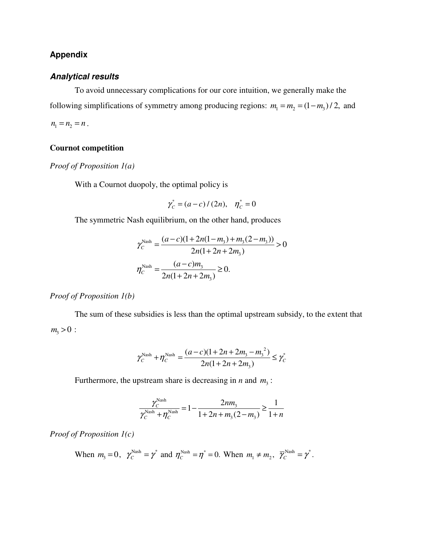## **Appendix**

## **Analytical results**

To avoid unnecessary complications for our core intuition, we generally make the following simplifications of symmetry among producing regions:  $m_1 = m_2 = (1 - m_3) / 2$ , and  $n_1 = n_2 = n$ .

## **Cournot competition**

*Proof of Proposition 1(a)* 

With a Cournot duopoly, the optimal policy is

$$
\gamma_C^* = (a-c)/(2n), \quad \eta_C^* = 0
$$

The symmetric Nash equilibrium, on the other hand, produces

$$
\gamma_C^{\text{Nash}} = \frac{(a-c)(1+2n(1-m_3)+m_3(2-m_3))}{2n(1+2n+2m_3)} > 0
$$

$$
\eta_C^{\text{Nash}} = \frac{(a-c)m_3}{2n(1+2n+2m_3)} \ge 0.
$$

## *Proof of Proposition 1(b)*

The sum of these subsidies is less than the optimal upstream subsidy, to the extent that  $m_3 > 0$ :

$$
\gamma_C^{\text{Nash}} + \eta_C^{\text{Nash}} = \frac{(a-c)(1+2n+2m_3-m_3^2)}{2n(1+2n+2m_3)} \le \gamma_C^*
$$

Furthermore, the upstream share is decreasing in  $n$  and  $m<sub>3</sub>$ :

$$
\frac{\gamma_C^{\text{Nash}}}{\gamma_C^{\text{Nash}} + \eta_C^{\text{Nash}}} = 1 - \frac{2nm_3}{1 + 2n + m_3(2 - m_3)} \ge \frac{1}{1 + n}
$$

*Proof of Proposition 1(c)* 

When 
$$
m_3 = 0
$$
,  $\gamma_C^{\text{Nash}} = \gamma^*$  and  $\eta_C^{\text{Nash}} = \eta^* = 0$ . When  $m_1 \neq m_2$ ,  $\overline{\gamma}_C^{\text{Nash}} = \gamma^*$ .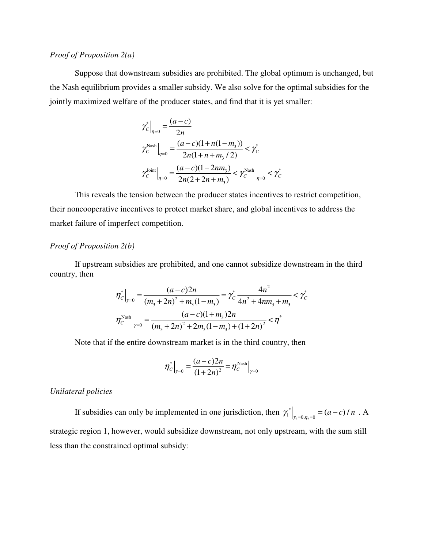## *Proof of Proposition 2(a)*

Suppose that downstream subsidies are prohibited. The global optimum is unchanged, but the Nash equilibrium provides a smaller subsidy. We also solve for the optimal subsidies for the jointly maximized welfare of the producer states, and find that it is yet smaller:

$$
\gamma_C^* \Big|_{\eta=0} = \frac{(a-c)}{2n}
$$
\n
$$
\gamma_C^{\text{Nash}} \Big|_{\eta=0} = \frac{(a-c)(1+n(1-m_3))}{2n(1+n+m_3/2)} < \gamma_C^*
$$
\n
$$
\gamma_C^{\text{Joint}} \Big|_{\eta=0} = \frac{(a-c)(1-2nm_3)}{2n(2+2n+m_3)} < \gamma_C^{\text{Nash}} \Big|_{\eta=0} < \gamma_C^*
$$

This reveals the tension between the producer states incentives to restrict competition, their noncooperative incentives to protect market share, and global incentives to address the market failure of imperfect competition.

#### *Proof of Proposition 2(b)*

If upstream subsidies are prohibited, and one cannot subsidize downstream in the third country, then

$$
\eta_c^* \Big|_{\gamma=0} = \frac{(a-c)2n}{(m_3 + 2n)^2 + m_3(1-m_3)} = \gamma_c^* \frac{4n^2}{4n^2 + 4nm_3 + m_3} < \gamma_c^*
$$

$$
\eta_c^{\text{Nash}} \Big|_{\gamma=0} = \frac{(a-c)(1+m_3)2n}{(m_3 + 2n)^2 + 2m_3(1-m_3) + (1+2n)^2} < \eta^*
$$

Note that if the entire downstream market is in the third country, then

$$
\eta_c^*\Big|_{\gamma=0} = \frac{(a-c)2n}{(1+2n)^2} = \eta_c^{\text{Nash}}\Big|_{\gamma=0}
$$

### *Unilateral policies*

If subsidies can only be implemented in one jurisdiction, then  $\left. \gamma_{1}^{*} \right|_{\gamma_{2}=0,\eta_{2}}$ \*  $\gamma_1^*\big|_{\gamma_2=0,\eta_2=0} = (a-c)/n$ . A strategic region 1, however, would subsidize downstream, not only upstream, with the sum still less than the constrained optimal subsidy: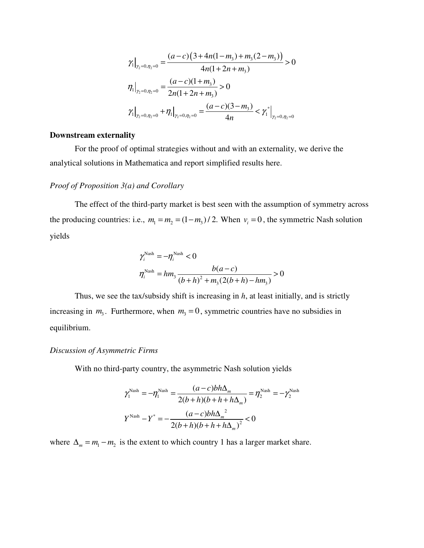$$
\gamma_1\Big|_{\gamma_2=0,\eta_2=0} = \frac{(a-c)\left(3+4n(1-m_3)+m_3(2-m_3)\right)}{4n(1+2n+m_3)} > 0
$$
  

$$
\eta_1\Big|_{\gamma_2=0,\eta_2=0} = \frac{(a-c)(1+m_3)}{2n(1+2n+m_3)} > 0
$$
  

$$
\gamma_1\Big|_{\gamma_2=0,\eta_2=0} + \eta_1\Big|_{\gamma_2=0,\eta_2=0} = \frac{(a-c)(3-m_3)}{4n} < \gamma_1^*\Big|_{\gamma_2=0,\eta_2=0}
$$

### **Downstream externality**

For the proof of optimal strategies without and with an externality, we derive the analytical solutions in Mathematica and report simplified results here.

#### *Proof of Proposition 3(a) and Corollary*

The effect of the third-party market is best seen with the assumption of symmetry across the producing countries: i.e.,  $m_1 = m_2 = (1 - m_3) / 2$ . When  $v_i = 0$ , the symmetric Nash solution yields

$$
\gamma_i^{\text{Nash}} = -\eta_i^{\text{Nash}} < 0
$$
  

$$
\eta_i^{\text{Nash}} = hm_3 \frac{b(a-c)}{(b+h)^2 + m_3(2(b+h) - hm_3)} > 0
$$

Thus, we see the tax/subsidy shift is increasing in *h*, at least initially, and is strictly increasing in  $m_3$ . Furthermore, when  $m_3 = 0$ , symmetric countries have no subsidies in equilibrium.

### *Discussion of Asymmetric Firms*

With no third-party country, the asymmetric Nash solution yields

$$
\gamma_1^{\text{Nash}} = -\eta_1^{\text{Nash}} = \frac{(a-c)bh\Delta_m}{2(b+h)(b+h+h\Delta_m)} = \eta_2^{\text{Nash}} = -\gamma_2^{\text{Nash}}
$$

$$
Y^{\text{Nash}} - Y^* = -\frac{(a-c)bh\Delta_m^2}{2(b+h)(b+h+h\Delta_m)^2} < 0
$$

where  $\Delta_m = m_1 - m_2$  is the extent to which country 1 has a larger market share.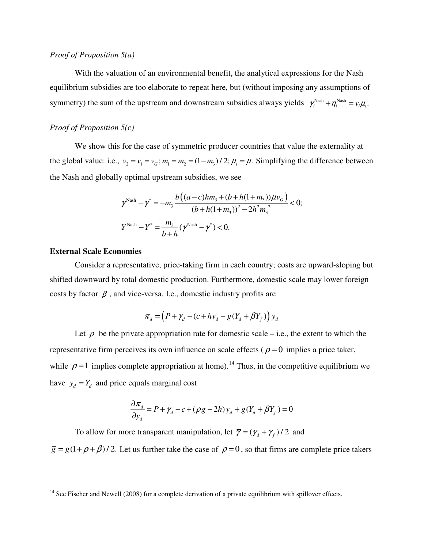### *Proof of Proposition 5(a)*

With the valuation of an environmental benefit, the analytical expressions for the Nash equilibrium subsidies are too elaborate to repeat here, but (without imposing any assumptions of symmetry) the sum of the upstream and downstream subsidies always yields  $\gamma_i^{Nash} + \eta_i^{Nash} = v_i \mu_i$ .

## *Proof of Proposition 5(c)*

We show this for the case of symmetric producer countries that value the externality at the global value: i.e.,  $v_2 = v_1 = v_G$ ;  $m_1 = m_2 = (1 - m_3)/2$ ;  $\mu_i = \mu$ . Simplifying the difference between the Nash and globally optimal upstream subsidies, we see

$$
\gamma^{\text{Nash}} - \gamma^* = -m_3 \frac{b\left((a-c)hm_3 + (b+h(1+m_3))\mu v_G\right)}{(b+h(1+m_3))^2 - 2h^2 m_3^2} < 0;
$$
  

$$
Y^{\text{Nash}} - Y^* = \frac{m_3}{b+h}(\gamma^{\text{Nash}} - \gamma^*) < 0.
$$

#### **External Scale Economies**

 $\overline{a}$ 

Consider a representative, price-taking firm in each country; costs are upward-sloping but shifted downward by total domestic production. Furthermore, domestic scale may lower foreign costs by factor  $\beta$ , and vice-versa. I.e., domestic industry profits are

$$
\pi_d = \left(P + \gamma_d - (c + hy_d - g(Y_d + \beta Y_f))\right) y_d
$$

Let  $\rho$  be the private appropriation rate for domestic scale – i.e., the extent to which the representative firm perceives its own influence on scale effects ( $\rho = 0$  implies a price taker, while  $\rho = 1$  implies complete appropriation at home).<sup>14</sup> Thus, in the competitive equilibrium we have  $y_d = Y_d$  and price equals marginal cost

$$
\frac{\partial \pi_d}{\partial y_d} = P + \gamma_d - c + (\rho g - 2h)y_d + g(Y_d + \beta Y_f) = 0
$$

To allow for more transparent manipulation, let  $\overline{\gamma} = (\gamma_d + \gamma_f) / 2$  and  $\overline{g} = g(1 + \rho + \beta)/2$ . Let us further take the case of  $\rho = 0$ , so that firms are complete price takers

<sup>&</sup>lt;sup>14</sup> See Fischer and Newell (2008) for a complete derivation of a private equilibrium with spillover effects.